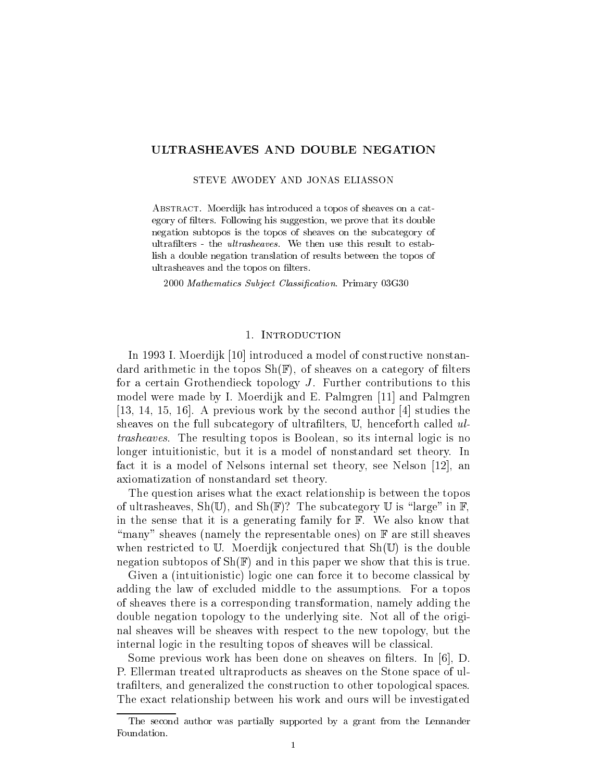# ULTRASHEAVES AND DOUBLE NEGATION

STEVE AWODEY AND JONAS ELIASSON

ABSTRACT. Moerdijk has introduced a topos of sheaves on a category of filters. Following his suggestion, we prove that its double negation subtopos is the topos of sheaves on the subcategory of ultrafilters - the *ultrasheaves*. We then use this result to establish a double negation translation of results between the topos of ultrasheaves and the topos on filters.

2000 Mathematics Subject Classification. Primary 03G30

#### 1. INTRODUCTION

In 1993 I. Moerdijk [10] introduced a model of constructive nonstandard arithmetic in the topos  $\text{Sh}(\mathbb{F})$ , of sheaves on a category of filters for a certain Grothendieck topology J. Further contributions to this model were made by I. Moerdijk and E. Palmgren [11] and Palmgren [13, 14, 15, 16]. A previous work by the second author [4] studies the sheaves on the full subcategory of ultrafilters, U, henceforth called  $ul$ trasheaves. The resulting topos is Boolean, so its internal logic is no longer intuitionistic, but it is a model of nonstandard set theory. In fact it is a model of Nelsons internal set theory, see Nelson [12], an axiomatization of nonstandard set theory.

The question arises what the exact relationship is between the topos of ultrasheaves,  $\text{Sh}(\mathbb{U})$ , and  $\text{Sh}(\mathbb{F})$ ? The subcategory  $\mathbb{U}$  is "large" in  $\mathbb{F}$ , in the sense that it is a generating family for F. We also know that "many" sheaves (namely the representable ones) on  $\mathbb F$  are still sheaves when restricted to  $\mathbb U$ . Moerdijk conjectured that  $\text{Sh}(\mathbb U)$  is the double negation subtopos of  $\text{Sh}(\mathbb{F})$  and in this paper we show that this is true.

Given a (intuitionistic) logic one can force it to become classical by adding the law of excluded middle to the assumptions. For a topos of sheaves there is a corresponding transformation, namely adding the double negation topology to the underlying site. Not all of the original sheaves will be sheaves with respect to the new topology, but the internal logic in the resulting topos of sheaves will be classical.

Some previous work has been done on sheaves on filters. In [6], D. P. Ellerman treated ultraproducts as sheaves on the Stone space of ultralters, and generalized the construction to other topological spaces. The exact relationship between his work and ours will be investigated

The second author was partially supported by a grant from the Lennander Foundation.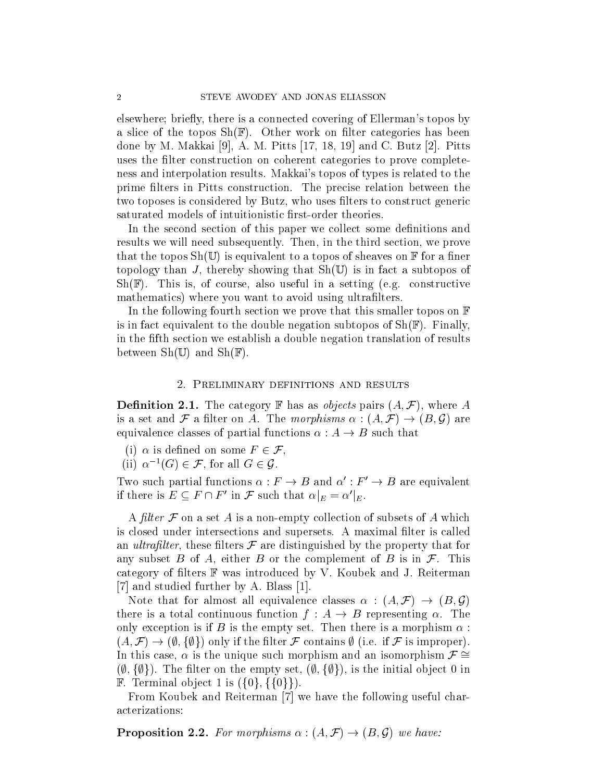elsewhere; briefly, there is a connected covering of Ellerman's topos by a slice of the topos  $\text{Sh}(\mathbb{F})$ . Other work on filter categories has been done by M. Makkai [9], A. M. Pitts [17, 18, 19] and C. Butz [2]. Pitts uses the filter construction on coherent categories to prove completeness and interpolation results. Makkai's topos of types is related to the prime filters in Pitts construction. The precise relation between the two toposes is considered by Butz, who uses filters to construct generic saturated models of intuitionistic first-order theories.

In the second section of this paper we collect some definitions and results we will need subsequently. Then, in the third section, we prove that the topos  $\text{Sh}(\mathbb{U})$  is equivalent to a topos of sheaves on  $\mathbb{F}$  for a finer topology than J, thereby showing that  $\text{Sh}(\mathbb{U})$  is in fact a subtopos of  $\text{Sh}(\mathbb{F})$ . This is, of course, also useful in a setting (e.g. constructive mathematics) where you want to avoid using ultrafilters.

In the following fourth section we prove that this smaller topos on  $\mathbb F$ is in fact equivalent to the double negation subtopos of  $\text{Sh}(\mathbb{F})$ . Finally, in the fth section we establish a double negation translation of results between  $\text{Sh}(\mathbb{U})$  and  $\text{Sh}(\mathbb{F})$ .

# 2. Preliminary definitions and results

**Definition 2.1.** The category **F** has as *objects* pairs  $(A, \mathcal{F})$ , where A is a set and F a filter on A. The morphisms  $\alpha : (A, \mathcal{F}) \to (B, \mathcal{G})$  are equivalence classes of partial functions  $\alpha : A \to B$  such that a set and  $\mathcal F$  a filter on A. The morphisms<br>quivalence classes of partial functions  $\alpha : A -$ <br>(i)  $\alpha$  is defined on some  $F \in \mathcal F$ ,

(i)  $\alpha$  is defined on some  $F \in \mathcal{F}$ ,<br>(ii)  $\alpha^{-1}(G) \in \mathcal{F}$ , for all  $G \in \mathcal{G}$ .

Two such partial functions  $\alpha : F \to B$  and  $\alpha' : F' \to B$  are equivalent if there is  $E \subseteq F \cap F'$  in F such that  $\alpha|_E = \alpha'|_E$ .

A filter  $\mathcal F$  on a set  $A$  is a non-empty collection of subsets of  $A$  which is closed under intersections and supersets. A maximal filter is called an *ultrafilter*, these filters  $\mathcal F$  are distinguished by the property that for any subset B of A, either B or the complement of B is in  $\mathcal{F}$ . This category of filters  $\mathbb F$  was introduced by V. Koubek and J. Reiterman [7] and studied further by A. Blass [1].

Note that for almost all equivalence classes  $\alpha : (A, \mathcal{F}) \to (B, \mathcal{G})$ there is a total continuous function  $f : A \rightarrow B$  representing  $\alpha$ . The only exception is if B is the empty set. Then there is a morphism  $\alpha$ :  $(A, \mathcal{F}) \rightarrow (\emptyset, \{\emptyset\})$  only if the filter  $\mathcal F$  contains  $\emptyset$  (i.e. if  $\mathcal F$  is improper). In this case,  $\alpha$  is the unique such morphism and an isomorphism  $\mathcal{F} \cong$  $(\emptyset, \{\emptyset\})$ . The filter on the empty set,  $(\emptyset, \{\emptyset\})$ , is the initial object 0 in **F.** Terminal object 1 is  $({0}, {0})$ .

From Koubek and Reiterman [7] we have the following useful characterizations:

**Proposition 2.2.** For morphisms  $\alpha$  :  $(A, \mathcal{F}) \rightarrow (B, \mathcal{G})$  we have: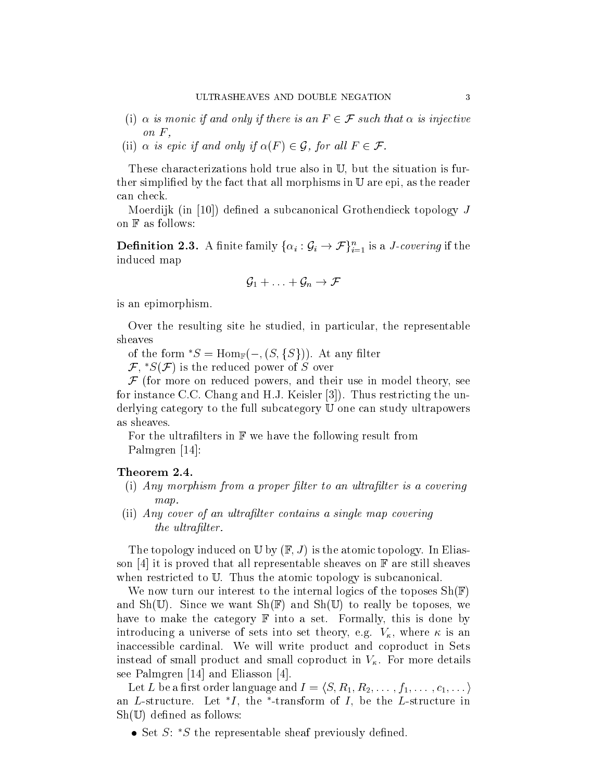- ULTRASHEAVES AND DOUBLE NEGATION 3<br>(i)  $\alpha$  is monic if and only if there is an  $F \in \mathcal{F}$  such that  $\alpha$  is injective on  $F$ , (i)  $\alpha$  is monic if and only if there is an  $F \in \mathcal{F}$  such that  $\alpha$  is injection  $F$ ,<br>(ii)  $\alpha$  is epic if and only if  $\alpha(F) \in \mathcal{G}$ , for all  $F \in \mathcal{F}$ .
- 

These characterizations hold true also in U, but the situation is further simplified by the fact that all morphisms in  $\mathbb U$  are epi, as the reader can check.

Moerdijk (in [10]) defined a subcanonical Grothendieck topology  $J$ on <sup>F</sup> as follows:

**Definition 2.3.** A finite family  $\{\alpha_i : \mathcal{G}_i \to \mathcal{F}\}_{i=1}^n$  is a *J-covering* if the induced map<br> $\mathcal{G}_1 + \ldots + \mathcal{G}_n \to \mathcal{F}$ induced map

$$
\mathcal{G}_1 + \ldots + \mathcal{G}_n \to \mathcal{F}
$$

is an epimorphism.

Over the resulting site he studied, in particular, the representable sheaves

of the form  $^*S = \text{Hom}_{\mathbb{F}}(-, (S, \{S\}))$ . At any filter

 $\mathcal{F},^*S(\mathcal{F})$  is the reduced power of S over

 $\mathcal F$  (for more on reduced powers, and their use in model theory, see for instance C.C. Chang and H.J. Keisler [3]). Thus restricting the underlying category to the full subcategory <sup>U</sup> one can study ultrapowers as sheaves.

For the ultrafilters in  $\mathbb F$  we have the following result from Palmgren [14]:

# Theorem 2.4.

- $(i)$  Any morphism from a proper filter to an ultrafilter is a covering map.
- (ii) Any cover of an ultrafilter contains a single map covering the ultrafilter.

The topology induced on  $\mathbb U$  by  $(\mathbb F, J)$  is the atomic topology. In Eliasson [4] it is proved that all representable sheaves on  $\mathbb F$  are still sheaves when restricted to U. Thus the atomic topology is subcanonical.

We now turn our interest to the internal logics of the toposes  $\text{Sh}(\mathbb{F})$ and  $\text{Sh}(\mathbb{U})$ . Since we want  $\text{Sh}(\mathbb{F})$  and  $\text{Sh}(\mathbb{U})$  to really be toposes, we have to make the category  $\mathbb F$  into a set. Formally, this is done by introducing a universe of sets into set theory, e.g.  $V_{\kappa}$ , where  $\kappa$  is an inaccessible cardinal. We will write product and coproduct in Sets instead of small product and small coproduct in  $V_{\kappa}$ . For more details see Palmgren [14] and Eliasson [4].

Let L be a first order language and  $I = \langle S, R_1, R_2, \ldots, f_1, \ldots, c_1, \ldots \rangle$ an  $L$ -structure. Let  $I$ , the -transform of  $I$ , be the  $L$ -structure in  $\blacksquare$  $\text{Sh}(\mathbb{U})$  defined as follows:

Set S: S the representable sheaf previously dened.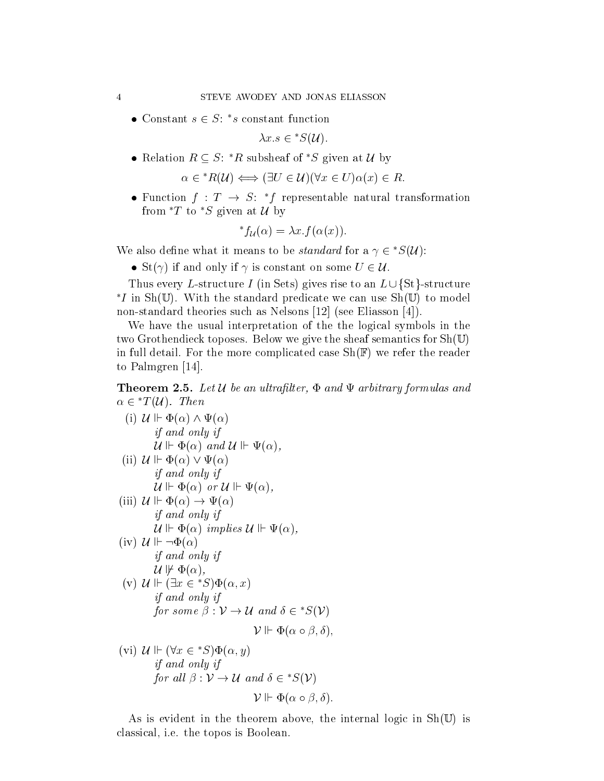$\bullet$  Constant  $s \in S$ : s constant function

 $\lambda x.s \in {^*S}(\mathcal{U}).$ 

• Relation  $B \subseteq S$ : R subsheaf of S given at  $U$  by  $R \subseteq S$ : \* $R$  subsheaf of \* $S$  given at  $U$  by<br>  $\alpha \in {^*R}(\mathcal{U}) \Longleftrightarrow (\exists U \in \mathcal{U})(\forall x \in U)\alpha(x) \in R.$ 

$$
u \in {}^*R(\mathcal{U}) \Longleftrightarrow (\exists U \in \mathcal{U})(\forall x \in U)\alpha(x) \in R.
$$

 $\bullet$  runction  $\tau$  :  $\tau$   $\rightarrow$   $S$ :  $\tau$  representable natural transformation from  $T$  to  $S$  given at U by

$$
^*f_{\mathcal{U}}(\alpha) = \lambda x.f(\alpha(x)).
$$

We also define what it means to be *standard* for a  $\gamma \in \mathcal{D}(\mathcal{U})$ :  $\mathcal{L}(\alpha) = \lambda x.$   $\mathcal{L}(\alpha(x))$ .<br>
St( $\gamma$ ) if and only if  $\gamma$  is constant on some  $U \in \mathcal{U}$ .

• St( $\gamma$ ) if and only if  $\gamma$  is constant on some  $U \in \mathcal{U}$ .

Thus every L-structure I (in Sets) gives rise to an  $L \cup \{St\}$ -structure  $I^*I$  in Sh(U). With the standard predicate we can use Sh(U) to model non-standard theories such as Nelsons [12] (see Eliasson [4]).

We have the usual interpretation of the the logical symbols in the two Grothendieck toposes. Below we give the sheaf semantics for Sh(U) in full detail. For the more complicated case  $\text{Sh}(\mathbb{F})$  we refer the reader to Palmgren [14].

**Theorem 2.5.** Let U be an ultrafilter,  $\Phi$  and  $\Psi$  arbitrary formulas and  $\alpha \in {}^*T(\mathcal{U})$ . Then

\n- (i) 
$$
\mathcal{U} \Vdash \Phi(\alpha) \land \Psi(\alpha)
$$
 if and only if  $\mathcal{U} \Vdash \Phi(\alpha)$  and  $\mathcal{U} \Vdash \Psi(\alpha)$ ,
\n- (ii)  $\mathcal{U} \Vdash \Phi(\alpha)$  and  $\mathcal{U} \Vdash \Psi(\alpha)$ ,  $\mathcal{U} \Vdash \Phi(\alpha) \lor \Psi(\alpha)$  if and only if  $\mathcal{U} \Vdash \Phi(\alpha)$  or  $\mathcal{U} \Vdash \Psi(\alpha)$ ,
\n- (iii)  $\mathcal{U} \Vdash \Phi(\alpha)$  or  $\mathcal{U} \Vdash \Psi(\alpha)$ , if and only if  $\mathcal{U} \Vdash \Phi(\alpha)$  if and only if  $\mathcal{U} \Vdash \Phi(\alpha)$ ,
\n- (iv)  $\mathcal{U} \Vdash \neg \Phi(\alpha)$  if and only if  $\mathcal{U} \Vdash \Phi(\alpha)$ ,
\n- (v)  $\mathcal{U} \Vdash (\exists x \in {}^*S)\Phi(\alpha, x)$  if and only if  $\text{for some } \beta : \mathcal{V} \to \mathcal{U}$  and  $\delta \in {}^*S(\mathcal{V})$ ,  $\mathcal{V} \Vdash \Phi(\alpha \circ \beta, \delta)$ ,
\n- (vi)  $\mathcal{U} \Vdash (\forall x \in {}^*S)\Phi(\alpha, y)$  if and only if
\n

for all  $\beta : \mathcal{V} \to \mathcal{U}$  and  $\delta \in {}^*S(\mathcal{V})$ 

As is evident in the theorem above, the internal logic in 
$$
Sh(\mathbb{U})
$$
 is classical, i.e. the topos is Boolean.

 $V \Vdash \Psi(\alpha \circ \rho, \theta).$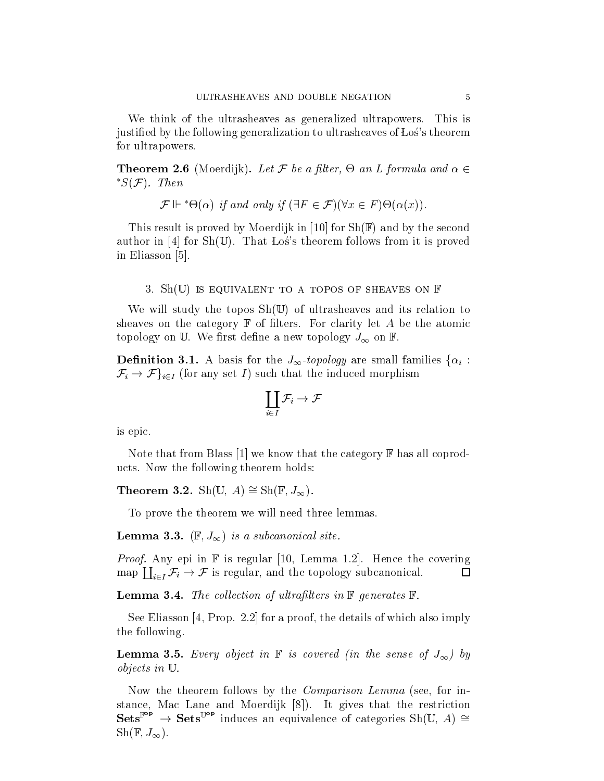We think of the ultrasheaves as generalized ultrapowers. This is justied by the following generalization to ultrasheaves of Los's theorem for ultrapowers.

**Theorem 2.6** (Moerdijk). Let F be a nuer,  $\Theta$  an L-formula and  $\alpha \in$  $^*S(\mathcal{F})$ . Then (a) if and only if  $(\exists F \in \mathcal{F})(\forall x \in F) \Theta(\alpha(x)).$ 

$$
\mathcal{F} \Vdash^* \Theta(\alpha)
$$
 if and only if  $(\exists F \in \mathcal{F})(\forall x \in F) \Theta(\alpha(x)).$ 

This result is proved by Moerdijk in [10] for  $\text{Sh}(\mathbb{F})$  and by the second author in [4] for  $\text{Sh}(\mathbb{U})$ . That Los's theorem follows from it is proved in Eliasson [5].

#### 3. Sh(U) is equivalent to a topos of sheaves on  $\mathbb F$

We will study the topos  $Sh(U)$  of ultrasheaves and its relation to sheaves on the category  $\mathbb F$  of filters. For clarity let A be the atomic topology on U. We first define a new topology  $J_{\infty}$  on F.

**Definition 3.1.** A basis for the  $J_{\infty}$ -topology are small families  $\{\alpha_i:\}$ **Definition 3.1.** A basis for the  $J_{\infty}$ -topology are small families  $\{\alpha_i :$ <br> $\mathcal{F}_i \to \mathcal{F}\}_{i \in I}$  (for any set I) such that the induced morphism  $\mathcal{F}_i \to \mathcal{F}$ <sub>i $\in I$ </sub> (for any set I) such that the induced morphism

$$
\coprod_{i\in I}\mathcal{F}_i\to\mathcal{F}
$$

is epic.

Note that from Blass [1] we know that the category  $\mathbb F$  has all coproducts. Now the following theorem holds:

**Theorem 3.2.** Sh(U, A)  $\cong$  Sh(F,  $J_{\infty}$ ).

To prove the theorem we will need three lemmas.

**Lemma 3.3.** ( $\mathbb{F}, J_{\infty}$ ) is a subcanonical site.

**Proof.** Any epi in  $\mathbb{F}$  is regular [10, Lemma 1.2]. Hence the coverance  $\prod_{i \in I} \mathcal{F}_i \to \mathcal{F}$  is regular, and the topology subcanonical. *Proof.* Any epi in  $\mathbb F$  is regular [10, Lemma 1.2]. Hence the covering  $\Box$ 

**Lemma 3.4.** The collection of ultrafilters in  $\mathbb{F}$  generates  $\mathbb{F}$ .

See Eliasson [4, Prop. 2.2] for a proof, the details of which also imply the following.

**Lemma 3.5.** Every object in  $\mathbb F$  is covered (in the sense of  $J_{\infty}$ ) by objects in U.

Now the theorem follows by the *Comparison Lemma* (see, for instance, Mac Lane and Moerdijk [8]). It gives that the restriction  $\textbf{Sets}^{\mathbb{F}^{\textbf{op}}} \to \textbf{Sets}^{\mathbb{U}^{\textbf{op}}}$  induces an equivalence of categories  $\text{Sh}(\mathbb{U}, A) \cong$  $\text{Sh}(\mathbb{F}, J_{\infty}).$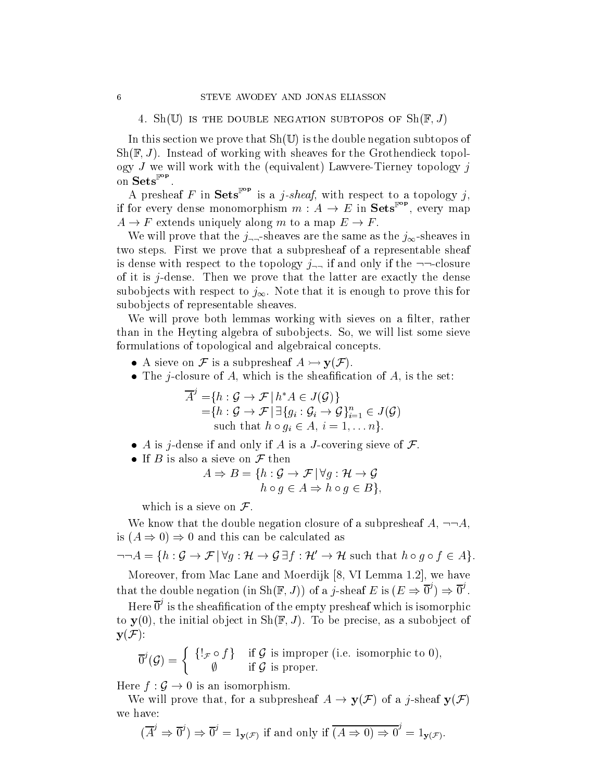4. Sh(U) is the double negation subtopos of  $\text{Sh}(\mathbb{F}, J)$ 

In this section we prove that  $\text{Sh}(\mathbb{U})$  is the double negation subtopos of  $\text{Sh}(\mathbb{F}, J)$ . Instead of working with sheaves for the Grothendieck topology  $J$  we will work with the (equivalent) Lawvere-Tierney topology  $j$ on  $Sets^{\mathbb{F}^{op}}$ .

A presheaf F in Sets<sup>Fop</sup> is a *j*-sheaf, with respect to a topology *j*. if for every dense monomorphism  $m: A \to E$  in  $\mathbf{Sets}^*$ , every map  $A \rightarrow F$  extends uniquely along m to a map  $E \rightarrow F$ .

We will prove that the  $j_{\neg \neg}$ -sheaves are the same as the  $j_{\infty}$ -sheaves in two steps. First we prove that a subpresheaf of a representable sheaf is dense with respect to the topology  $j_{\neg}$  if and only if the  $\neg$ -closure of it is  $j$ -dense. Then we prove that the latter are exactly the dense subobjects with respect to  $j_{\infty}$ . Note that it is enough to prove this for subobjects of representable sheaves.

We will prove both lemmas working with sieves on a filter, rather than in the Heyting algebra of subobjects. So, we will list some sieve formulations of topological and algebraical concepts.

- A sieve on  $\mathcal F$  is a subpresheaf  $A \rightarrowtail \mathbf{y}(\mathcal F)$ .
- 

\n- The *j*-closure of *A*, which is the sheamileation of *A*, is the set:
\n- $$
\overline{A}^j = \{h : \mathcal{G} \to \mathcal{F} \mid h^*A \in J(\mathcal{G})\}
$$
\n
$$
= \{h : \mathcal{G} \to \mathcal{F} \mid \exists \{g_i : \mathcal{G}_i \to \mathcal{G}\}_{i=1}^n \in J(\mathcal{G})
$$
\n such that  $h \circ g_i \in A, i = 1, \ldots n\}.$
\n

- A is j-dense if and only if A is a J-covering sieve of  $\mathcal{F}$ .<br>
If B is also a sieve on  $\mathcal{F}$  then<br>  $A \Rightarrow B = \{h : G \rightarrow \mathcal{F} | \forall g : \mathcal{H} \rightarrow G\}$
- $\bullet$  If  $D$  is also a sieve on  $\mathcal F$  then

$$
A \Rightarrow B = \{ h : \mathcal{G} \to \mathcal{F} \mid \forall g : \mathcal{H} \to \mathcal{G} h \circ g \in A \Rightarrow h \circ g \in B \},\
$$

which is a sieve on  $\mathcal{F}$ .

We know that the double negation closure of a subpresheaf  $A, \neg\neg A,$ is  $(A \Rightarrow 0) \Rightarrow 0$  and this can be calculated as

 $\neg\neg A = \{h : \mathcal{G} \to \mathcal{F} \mid \forall g : \mathcal{H} \to \mathcal{G} \exists f : \mathcal{H}' \to \mathcal{H} \text{ such that } h \circ g \circ f \in A\}.$ 

Moreover, from Mac Lane and Moerdijk [8, VI Lemma 1.2], we have that the double negation (in  $\text{Sh}(\mathbb{F},J)$ ) of a *j*-sheaf E is  $(E \Rightarrow 0') \Rightarrow 0'$ .

Here 0' is the sheafification of the empty presheaf which is isomorphic to  $y(0)$ , the initial object in Sh( $\mathbb{F}, J$ ). To be precise, as a subobject of  $y(\mathcal{F})$ :

$$
\overline{0}^j(\mathcal{G}) = \begin{cases} \{!\mathbf{1}_{\mathcal{F}} \circ f\} & \text{if } \mathcal{G} \text{ is improper (i.e. isomorphic to 0)}, \\ \emptyset & \text{if } \mathcal{G} \text{ is proper.} \end{cases}
$$

Here  $f : \mathcal{G} \to 0$  is an isomorphism.

We will prove that, for a subpresheaf  $A \to y(\mathcal{F})$  of a j-sheaf  $y(\mathcal{F})$ we have:

$$
(\overline{A}^j \Rightarrow \overline{0}^j) \Rightarrow \overline{0}^j = 1_{\mathbf{y}(\mathcal{F})}
$$
 if and only if  $(A \Rightarrow 0) \Rightarrow 0^j = 1_{\mathbf{y}(\mathcal{F})}$ .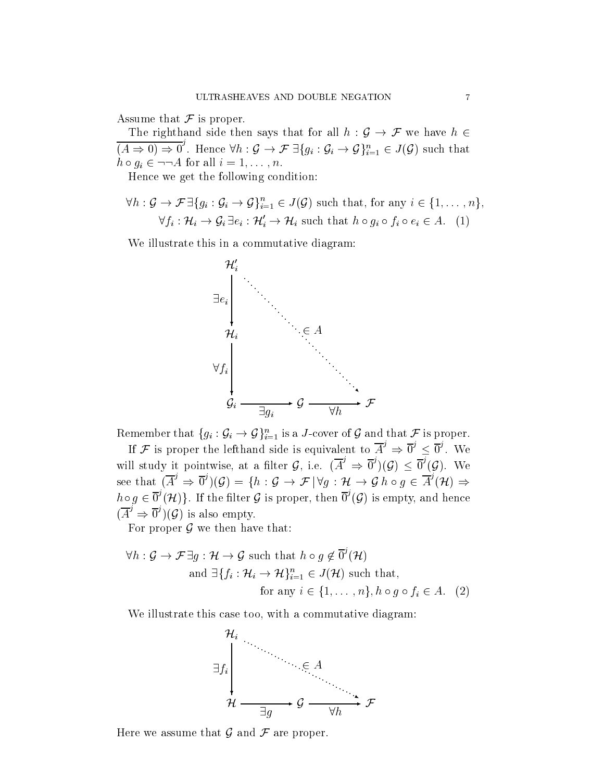Assume that  $\mathcal F$  is proper.

The righthand side then says that for all  $h : \mathcal{G} \to \mathcal{F}$  we have  $h \in$  $(A \Rightarrow 0) \Rightarrow 0'$ . Hence  $\forall h : G$ F is proper.<br>
and side then says that for all  $h : \mathcal{G} \to \mathcal{F}$  we have  $h \in$ <br>  $\therefore$  Hence  $\forall h : \mathcal{G} \to \mathcal{F} \exists \{g_i : \mathcal{G}_i \to \mathcal{G}\}_{i=1}^n \in J(\mathcal{G})$  such that The righthand side then says that<br>  $(A \Rightarrow 0) \Rightarrow 0^j$ . Hence  $\forall h : \mathcal{G} \rightarrow \mathcal{F} \exists \{h \circ g_i \in \neg \neg A \text{ for all } i = 1, ..., n. \}$ 

 $H^*$  and following conditions  $H^*$ 

Hence we get the following condition:  
\n
$$
\forall h: \mathcal{G} \to \mathcal{F} \exists \{g_i: \mathcal{G}_i \to \mathcal{G}\}_{i=1}^n \in J(\mathcal{G}) \text{ such that, for any } i \in \{1, ..., n\},
$$
\n
$$
\forall f_i: \mathcal{H}_i \to \mathcal{G}_i \exists e_i: \mathcal{H}'_i \to \mathcal{H}_i \text{ such that } h \circ g_i \circ f_i \circ e_i \in A. \tag{1}
$$

We illustrate this in a commutative diagram:



If F is proper the lefthand side is equivalent to  $A^{\prime} \Rightarrow 0^{\prime} \le 0^{\prime}$ . We will study it pointwise, at a filter G, i.e.  $(A' \Rightarrow 0')(G) \leq 0'(G)$ . We see that  $(A^{\prime} \Rightarrow 0^{\prime})(\mathcal{G}) = \{h : \mathcal{G} \rightarrow \mathcal{F} | \forall q : \mathcal{H} \rightarrow \mathcal{G} h \circ q \in A^{\prime}(\mathcal{H}) \Rightarrow$ the lefthand side is equivalent to  $A^* \Rightarrow 0^* \leq 0^*$ . We<br>wise, at a filter  $\mathcal{G}$ , i.e.  $(\overline{A}^j \Rightarrow \overline{0}^j)(\mathcal{G}) \leq \overline{0}^j(\mathcal{G})$ . We<br> $(\mathcal{G}) = \{h : \mathcal{G} \rightarrow \mathcal{F} | \forall g : \mathcal{H} \rightarrow \mathcal{G} h \circ g \in \overline{A}^j(\mathcal{H}) \Rightarrow$  $h \circ q \in 0^{\circ}(\mathcal{H})\}$ . If the filter G is proper, then  $0^{\circ}(\mathcal{G})$  is empty, and hence  $(A' \Rightarrow 0')(\mathcal{G})$  is also empty.

For proper  $\mathcal G$  we then have that:

$$
\forall h: \mathcal{G} \to \mathcal{F} \exists g: \mathcal{H} \to \mathcal{G} \text{ such that } h \circ g \notin \overline{0}^j(\mathcal{H})
$$
  
and  $\exists \{f_i: \mathcal{H}_i \to \mathcal{H}\}_{i=1}^n \in J(\mathcal{H}) \text{ such that,}$   
for any  $i \in \{1, ..., n\}, h \circ g \circ f_i \in A$ . (2)

We illustrate this case too, with a commutative diagram:



Here we assume that  $\mathcal G$  and  $\mathcal F$  are proper.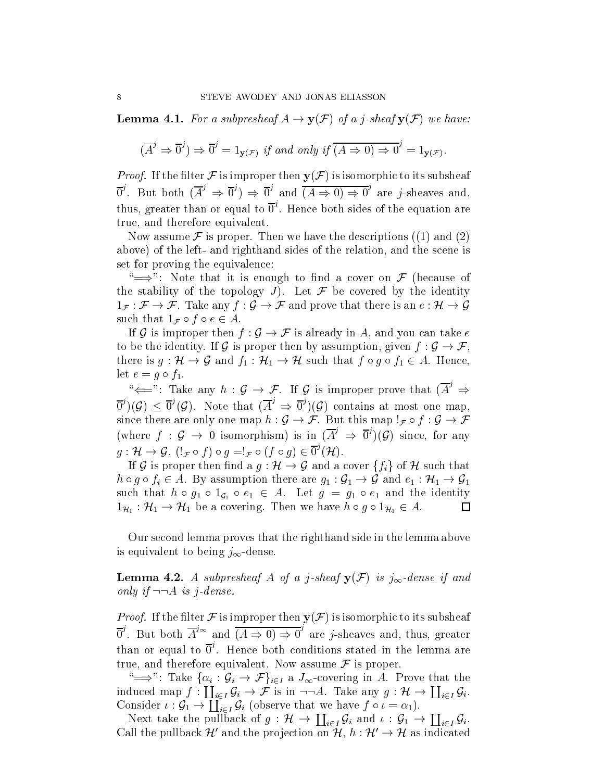**Lemma 4.1.** For a subpresheaf  $A \rightarrow y(\mathcal{F})$  of a j-sheaf  $y(\mathcal{F})$  we have:

$$
(\overline{A}^j \Rightarrow \overline{0}^j) \Rightarrow \overline{0}^j = 1_{\mathbf{y}(\mathcal{F})} \text{ if and only if } (\overline{A \Rightarrow 0}) \Rightarrow \overline{0}^j = 1_{\mathbf{y}(\mathcal{F})}.
$$

*Proof.* If the filter F is improper then  $y(\mathcal{F})$  is isomorphic to its subsheaf  $0'$ . But both  $(A' \Rightarrow 0') \Rightarrow 0'$  and  $(A \Rightarrow 0) \Rightarrow 0'$  are *j*-sheaves are j-sheaves and, thus, greater than or equal to  $0^{\prime}$ . Hence both sides of the equation are true, and therefore equivalent.

Now assume  $\mathcal F$  is proper. Then we have the descriptions  $(1)$  and  $(2)$ above) of the left- and righthand sides of the relation, and the scene is set for proving the equivalence:

 $\iff$ ": Note that it is enough to find a cover on F (because of the stability of the topology  $J$ ). Let  ${\mathcal F}$  be covered by the identity " $\implies$ ": Note that it is enough to find a cover on  $\mathcal F$  (because of the stability of the topology J). Let  $\mathcal F$  be covered by the identity  $1_{\mathcal F}: \mathcal F \to \mathcal F$ . Take any  $f: \mathcal G \to \mathcal F$  and prove that there is an  $e: \mathcal H$ such that  $1_{\mathcal{F}} \circ f \circ e \in A$ .  $1_{\mathcal{F}} : \mathcal{F} \to \mathcal{F}$ . Take any  $f : \mathcal{G} \to \mathcal{F}$  and prove that there is an  $e : \mathcal{H} \to \mathcal{G}$ 

If G is improper then  $f : \mathcal{G} \to \mathcal{F}$  is already in A, and you can take  $e$  to be the identity. If G is proper then by assumption, given  $f : \mathcal{G} \to \mathcal{F}$ , there is  $g : \mathcal{H} \to \mathcal{G}$  and  $f_1 : \mathcal{H} \to \mathcal{H}$  such that  $f \circ g \circ f_1 \in A$ . Hence, let  $e = g \circ f_1$ .

" $\iff$ ": Take any  $h : G \to F$ . If G is improper prove that  $(A^{\circ} \Rightarrow$  $[0, 0]$   $(\mathcal{G})$   $\leq$   $[0, 0]$ . Note that  $(A^{2} \Rightarrow 0^{2})(\mathcal{G})$  contains at most one map,  $s^{\omega} \leftarrow \infty$ : Take any  $h : \mathcal{G} \to \mathcal{F}$ . If  $\mathcal{G}$  is improper prove that  $(A^{\omega} \Rightarrow \overline{\mathbf{0}}^j)(\mathcal{G}) \leq \overline{\mathbf{0}}^j(\mathcal{G})$ . Note that  $(\overline{A}^j \Rightarrow \overline{\mathbf{0}}^j)(\mathcal{G})$  contains at most one map, since there are only one m (where  $f : G \to 0$  isomorphism) is in  $(A' \Rightarrow 0')(G)$  since, for any  $g: \mathcal{H} \to \mathcal{G}, (\mathcal{F} \circ f) \circ g = f_{\mathcal{F}} \circ (f \circ g) \in 0^{\circ}(\mathcal{H}).$ 

If  $G$  is proper then find a  $g : H \to G$  and a cover  $\{f_i\}$  of  $H$  such that  $g: \mathcal{H} \to \mathcal{G}, (\mathbf{1}_{\mathcal{F}} \circ f) \circ g = \mathbf{1}_{\mathcal{F}} \circ (f \circ g) \in \overline{0}^{\mathcal{I}}(\mathcal{H}).$ <br>If  $\mathcal{G}$  is proper then find a  $g: \mathcal{H} \to \mathcal{G}$  and a cover  $\{f_i\}$  of  $\mathcal{H}$  such that  $h \circ g \circ f_i \in A$ . By assumption there are  $g_1: \$ such that  $n \circ g_1 \circ 1_{\mathcal{G}_1} \circ e_1 \in A$ . Let  $g = g_1 \circ e_1$  and the identity  $1_{\mathcal{H}_1} : \mathcal{H}_1 \to \mathcal{H}_1$  be a covering. Then we have  $h \circ g \circ 1_{\mathcal{H}_1} \in A$ .  $g \circ f_i \in A$ . By assumption there are  $g_1 : \mathcal{G}_1 \to \mathcal{G}$  and  $e_1 : \mathcal{H}_1 \to \mathcal{G}$ <br>that  $h \circ g_1 \circ 1_{\mathcal{G}_1} \circ e_1 \in A$ . Let  $g = g_1 \circ e_1$  and the identity  $\colon \mathcal{H}_1 \to \mathcal{H}_1$  be a covering. Then we have  $h \circ g \circ 1_{\mathcal{H}_1}$ 

Our second lemma proves that the righthand side in the lemma above is equivalent to being  $j_{\infty}$ -dense.

**Lemma 4.2.** A subpresheaf A of a j-sheaf  $y(\mathcal{F})$  is  $j_{\infty}$ -dense if and only if  $\neg A$  is j-dense.

*Proof.* If the filter F is improper then  $y(\mathcal{F})$  is isomorphic to its subsheaf  $0'$ . But both  $A'^{\infty}$  and  $(A \Rightarrow 0) \Rightarrow 0'$  are *j*-sheaves are  $\sim$  j-sheaves and the sheaves are greater than  $\sim$ than or equal to  $0^{\circ}$ . Hence both conditions stated in the lemma are true, and therefore equivalent. Now assume  $\mathcal F$  is proper.

 $\Rightarrow$ ": Take  $\{\alpha_i : \mathcal{G}_i \to \mathcal{F}\}_{i \in I}$  a  $J_{\infty}$ -covering in A. Prove that the true, and therefore equivalent. Now assume  $\mathcal F$  is proper.<br>
"  $\implies$ ": Take  $\{\alpha_i : \mathcal G_i \to \mathcal F\}_{i \in I}$  a  $J_\infty$ -covering in A. Prove that the induced map  $f : \coprod_{i \in I} \mathcal G_i \to \mathcal F$  is in  $\neg \neg A$ . Take any  $g : \mathcal H \to \coprod_{i \in I}$ Consider  $\iota : \mathcal{G}_1 \to \coprod_{i \in I} \mathcal{G}_i$  (observe that we have  $f \circ \iota = \alpha_1$ ).

Next take the pullback of  $g: \mathcal{H} \to \coprod_{i \in I} \mathcal{G}_i$  and  $\iota: \mathcal{G}_1 \to \coprod_{i \in I} \mathcal{G}_i$ . Consider  $\iota : \mathcal{G}_1 \to \coprod_{i \in I} \mathcal{G}_i$  (observe that we have  $f \circ \iota = \alpha_1$ ).<br>Next take the pullback of  $g : \mathcal{H} \to \coprod_{i \in I} \mathcal{G}_i$  and  $\iota : \mathcal{G}_1 \to \coprod_{i \in I} \mathcal{G}_i$ .<br>Call the pullback  $\mathcal{H}'$  and the projection on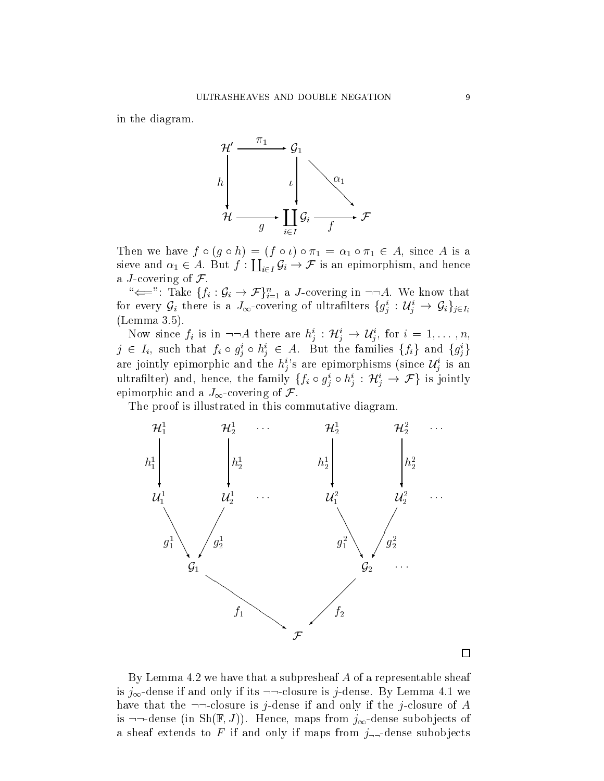in the diagram.



Then we have  $f \circ (g \circ h) = (f \circ l) \circ \pi_1 = \alpha_1 \circ \pi_1 \in A$ , since A is a sieve and  $\alpha_1 \in A$ . But  $f : \coprod_{i \in I} \mathcal{G}_i \to \mathcal{F}$  is an epimorphism, and hence  $(f \circ \iota) \circ \pi_1 = \alpha_1 \circ \pi_1 \in A$ , since A is a<br>  $i \in I \mathcal{G}_i \to \mathcal{F}$  is an epimorphism, and hence a J-covering of  $\mathcal{F}$ . we and  $\alpha_1 \in A$ . But  $f : \coprod_{i \in I} \mathcal{G}_i \to \mathcal{F}$  is an epimorphism, and hence<br>*J*-covering of  $\mathcal{F}$ .<br>" $\Longleftarrow$ ": Take  $\{f_i : \mathcal{G}_i \to \mathcal{F}\}_{i=1}^n$  a *J*-covering in  $\neg\neg A$ . We know that

for every  $\mathcal{G}_i$  there is a  $J_\infty$ -covering of ultraniters  $\{g^-_i: \mathcal{U}_i\to \mathcal{G}_i\}_{j\in I_i}$ (Lemma 3.5).

Now since  $j_i$  is in  $\neg \neg A$  there are  $h_j : H_j \to U_j$ , for  $i = 1, \ldots, n$ ,  $j \in I_i$ , such that  $f_i \circ g_j^i \circ h_j^i \in A$ . But the families  $\{f_i\}$  and  $\{g_j^i\}$ <br>are jointly epimorphic and the  $h_j^i$ 's are epimorphisms (since  $\mathcal{U}_j^i$  is an<br>ultrafilter) and, hence, the family  $\{f_i \circ g_i^i \circ h_i^i : \mathcal{$ are jointly epimorphic and the  $h_j^s$  are epimorphisms (since  $\mathcal{U}_j^s$  is an ultramier) and, hence, the family  $\{f_i\circ g_j\circ n_i:\pi_i\to\emptyset\}$ epimorphic and a  $J_{\infty}$ -covering of  $\mathcal{F}$ .

The proof is illustrated in this commutative diagram.



By Lemma 4.2 we have that a subpresheaf A of a representable sheaf is  $j_{\infty}$ -dense if and only if its  $\neg\neg$ -closure is j-dense. By Lemma 4.1 we have that the  $\neg\neg$ -closure is j-dense if and only if the j-closure of A is  $\neg\neg$ -dense (in Sh(F, J)). Hence, maps from  $j_{\infty}$ -dense subobjects of a sheaf extends to F if and only if maps from  $j_{\neg}$ -dense subobjects

 $\Box$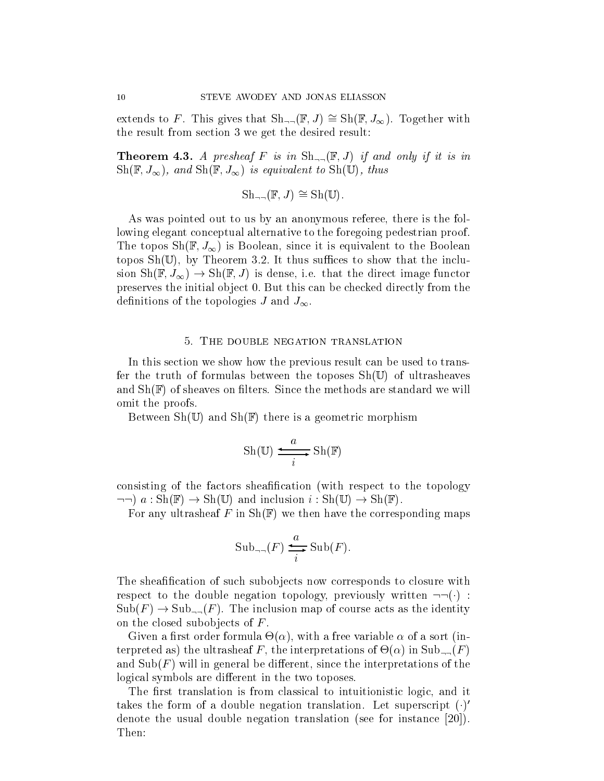extends to F. This gives that  $\text{Sh}_{\text{--}}(\mathbb{F},J) \cong \text{Sh}(\mathbb{F},J_{\infty})$ . Together with the result from section 3 we get the desired result:

**Theorem 4.3.** A presheaf F is in  $\text{Sh}_{\neg \neg}(\mathbb{F}, J)$  if and only if it is in  $\text{Sh}(\mathbb{F}, J_{\infty})$ , and  $\text{Sh}(\mathbb{F}, J_{\infty})$  is equivalent to  $\text{Sh}(\mathbb{U})$ , thus

 $\mathrm{Sh}_{\mathbb{H}}(\mathbb{F},J) \cong \mathrm{Sh}(\mathbb{U}).$ 

As was pointed out to us by an anonymous referee, there is the following elegant conceptual alternative to the foregoing pedestrian proof. The topos  $\text{Sh}(\mathbb{F}, J_{\infty})$  is Boolean, since it is equivalent to the Boolean topos  $\text{Sh}(\mathbb{U})$ , by Theorem 3.2. It thus suffices to show that the inclusion  $\text{Sh}(\mathbb{F}, J_{\infty}) \to \text{Sh}(\mathbb{F}, J)$  is dense, i.e. that the direct image functor preserves the initial object 0. But this can be checked directly from the definitions of the topologies J and  $J_{\infty}$ .

### 5. The double negation translation

In this section we show how the previous result can be used to transfer the truth of formulas between the toposes  $\text{Sh}(\mathbb{U})$  of ultrasheaves and  $\text{Sh}(\mathbb{F})$  of sheaves on filters. Since the methods are standard we will omit the proofs.

Between  $\text{Sh}(\mathbb{U})$  and  $\text{Sh}(\mathbb{F})$  there is a geometric morphism

$$
Sh(\mathbb{U}) \xrightarrow{i} Sh(\mathbb{F})
$$

consisting of the factors sheafification (with respect to the topology  $\lnot \rightarrow a : Sh(\mathbb{F}) \rightarrow Sh(\mathbb{U})$  and inclusion  $i : Sh(\mathbb{U}) \rightarrow Sh(\mathbb{F})$ .

For any ultrasheaf F in  $\text{Sh}(\mathbb{F})$  we then have the corresponding maps

$$
\mathrm{Sub}_{\neg\neg}(F) \xrightarrow{i} \mathrm{Sub}(F).
$$

The sheafification of such subobjects now corresponds to closure with respect to the double negation topology, previously written  $\neg\neg(\cdot)$ :  $\text{Sub}(F) \to \text{Sub}_{\text{unif}}(F)$ . The inclusion map of course acts as the identity on the closed subobjects of  $F$ .

 $\blacksquare$ terpretations of  $\mathbf{r}$  , the interpretations of  $\mathbf{r}$  , the interpretations of  $\mathbf{r}$ and  $\text{Sub}(F)$  will in general be different, since the interpretations of the logical symbols are different in the two toposes.

The first translation is from classical to intuitionistic logic, and it takes the form of a double negation translation. Let superscript  $(\cdot)$ denote the usual double negation translation (see for instance [20]). Then: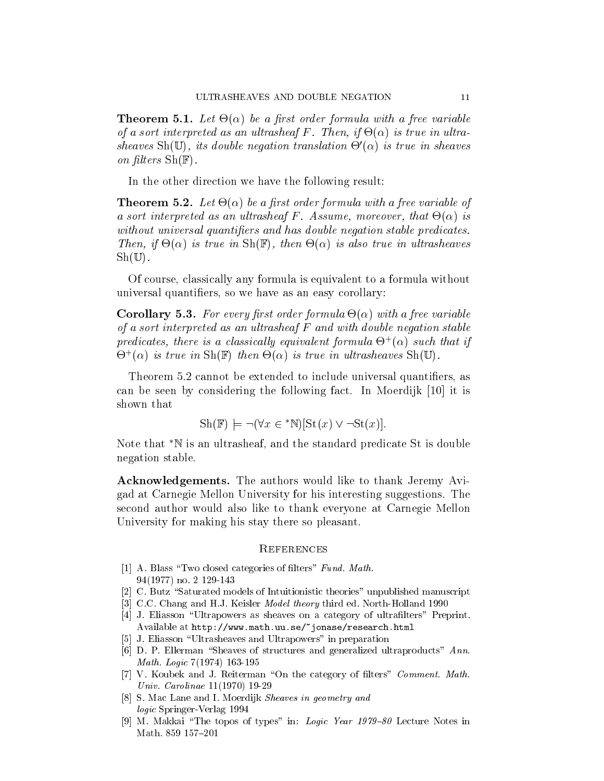$T$  . Let  $\mathcal{L}$  be a free variable variable variable variable variable variable variable variable variable variable variable variable variable variable variable variable variable variable variable variable variable var of a sort interpreted as an ultrasheaf F . Then, if -() is true in ultrasheaves  $\text{Sny} \cup \text{S}$ , its double negation translation  $\Theta$  ( $\alpha$ ) is true in sheaves on filters  $\text{Sh}(\mathbb{F})$ .

In the other direction we have the following result:

Theorem 5.2. Let -() be a rst order formula with a free variable of as a sort interpreted as an ultrasheaf  $\mathcal{A}$  . Assume, more over, that  $\mathcal{A}$  is a summer over, that  $\mathcal{A}$ without universal quantifiers and has double negation stable predicates.  $\blacksquare$  is the contrast in  $\blacksquare$  is also true in the sheaves in the sheaves in ultrasheaves in ultrasheaves in the sheaves in the sheaves in the sheaves in the sheaves in the sheaves in the sheaves in the sheaves in the s  $\mathrm{Sh}(\mathbb{U})$ .

Of course, classically any formula is equivalent to a formula without universal quantiers, so we have as an easy corollary:

 $\mathcal{L}$  , and a free variable formula - free variable formula - free variable formula - free variable formula - free variable formula - free variable formula - free variable formula - free variable formula - free variabl of a sort interpreted as an ultrasheaf F and with double negation stable  $p$ reatcates, there is a classicatly equivalent formula  $\Theta^+(\alpha)$  such that if  $\cup$  (a) is true in Sh(f) then  $\cup$ (a) is true in ultrasheaves Sh(U).

Theorem 5.2 cannot be extended to include universal quantifiers, as can be seen by considering the following fact. In Moerdijk [10] it is<br>shown that<br> $\text{Sh}(\mathbb{F}) \models \neg(\forall x \in \text{N}[\text{St}(x) \lor \neg \text{St}(x)].$ shown that

$$
Sh(\mathbb{F}) \models \neg (\forall x \in {}^*N)[St(x) \lor \neg St(x)].
$$

Note that  $\mathbb{N}$  is an ultrasheaf, and the standard predicate St is double negation stable.

Acknowledgements. The authors would like to thank Jeremy Avigad at Carnegie Mellon University for his interesting suggestions. The second author would also like to thank everyone at Carnegie Mellon University for making his stay there so pleasant.

#### **REFERENCES**

- [1] A. Blass "Two closed categories of filters" Fund. Math. 94(1977) no. 2 129-143
- [2] C. Butz "Saturated models of Intuitionistic theories" unpublished manuscript
- [3] C.C. Chang and H.J. Keisler *Model theory* third ed. North-Holland 1990
- [4] J. Eliasson "Ultrapowers as sheaves on a category of ultrafilters" Preprint. Available at http://www.math.uu.se/~jonase/research.html
- [5] J. Eliasson "Ultrasheaves and Ultrapowers" in preparation
- [6] D. P. Ellerman "Sheaves of structures and generalized ultraproducts"  $Ann.$ Math. Logic 7(1974) 163-195
- [7] V. Koubek and J. Reiterman "On the category of filters" *Comment. Math.* Univ. Carolinae 11(1970) 19-29
- [8] S. Mac Lane and I. Moerdijk Sheaves in geometry and logic Springer-Verlag 1994
- [9] M. Makkai "The topos of types" in: Logic Year  $1979-80$  Lecture Notes in Math. 859 157-201